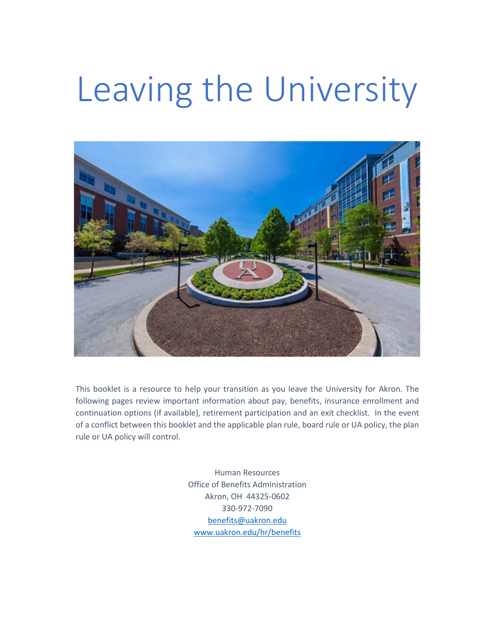# Leaving the University



This booklet is a resource to help your transition as you leave the University for Akron. The following pages review important information about pay, benefits, insurance enrollment and continuation options (if available), retirement participation and an exit checklist. In the event of a conflict between this booklet and the applicable plan rule, board rule or UA policy, the plan rule or UA policy will control.

> Human Resources Office of Benefits Administration Akron, OH 44325-0602 330-972-7090 [benefits@uakron.edu](mailto:benefits@uakron.edu) [www.uakron.edu/hr/benefits](http://www.uakron.edu/hr/benefits)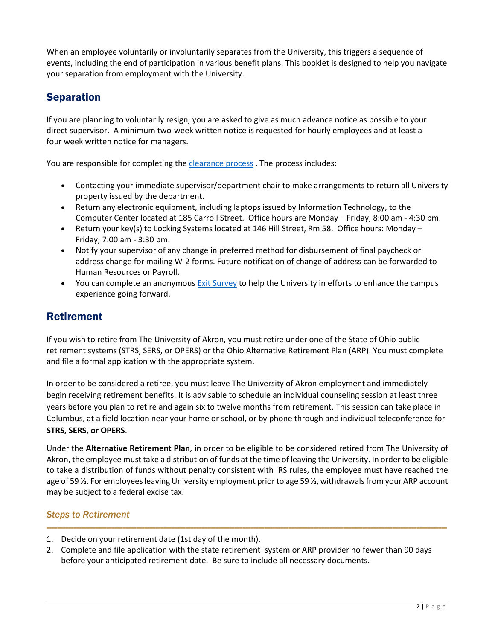When an employee voluntarily or involuntarily separates from the University, this triggers a sequence of events, including the end of participation in various benefit plans. This booklet is designed to help you navigate your separation from employment with the University.

## Separation

If you are planning to voluntarily resign, you are asked to give as much advance notice as possible to your direct supervisor. A minimum two-week written notice is requested for hourly employees and at least a four week written notice for managers.

You are responsible for completing the *[clearance process](https://www.uakron.edu/hr/hiring-separation-and-personnel-actions/separation/index.dot)*. The process includes:

- Contacting your immediate supervisor/department chair to make arrangements to return all University property issued by the department.
- Return any electronic equipment, including laptops issued by Information Technology, to the Computer Center located at 185 Carroll Street. Office hours are Monday – Friday, 8:00 am - 4:30 pm.
- Return your key(s) to Locking Systems located at 146 Hill Street, Rm 58. Office hours: Monday Friday, 7:00 am - 3:30 pm.
- Notify your supervisor of any change in preferred method for disbursement of final paycheck or address change for mailing W-2 forms. Future notification of change of address can be forwarded to Human Resources or Payroll.
- You can complete an anonymous [Exit Survey](https://forms.office.com/Pages/ResponsePage.aspx?id=7V1X6PnXzk6kqgsymRru3b0fz3VyLedLtYnEYPLg1YhUMUdOSVZaUEpTMUVUM0xMM1FDNURGSUEyMy4u) to help the University in efforts to enhance the campus experience going forward.

## Retirement

If you wish to retire from The University of Akron, you must retire under one of the State of Ohio public retirement systems (STRS, SERS, or OPERS) or the Ohio Alternative Retirement Plan (ARP). You must complete and file a formal application with the appropriate system.

In order to be considered a retiree, you must leave The University of Akron employment and immediately begin receiving retirement benefits. It is advisable to schedule an individual counseling session at least three years before you plan to retire and again six to twelve months from retirement. This session can take place in Columbus, at a field location near your home or school, or by phone through and individual teleconference for **STRS, SERS, or OPERS**.

Under the **Alternative Retirement Plan**, in order to be eligible to be considered retired from The University of Akron, the employee must take a distribution of funds at the time of leaving the University. In order to be eligible to take a distribution of funds without penalty consistent with IRS rules, the employee must have reached the age of 59½. For employees leaving University employment prior to age 59 ½, withdrawals from your ARP account may be subject to a federal excise tax.

#### *Steps to Retirement*

- *---------------------------------------------------------------------------------------------------------------------------------------------------* 1. Decide on your retirement date (1st day of the month).
- 2. Complete and file application with the state retirement system or ARP provider no fewer than 90 days before your anticipated retirement date. Be sure to include all necessary documents.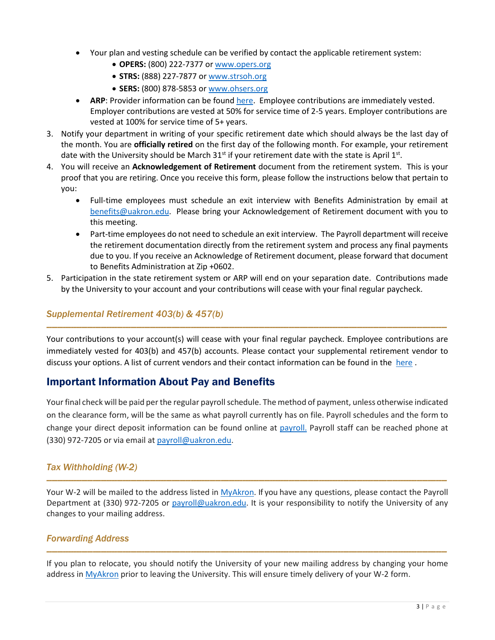- Your plan and vesting schedule can be verified by contact the applicable retirement system:
	- **OPERS:** (800) 222-7377 or [www.opers.org](http://www.opers.org/)
	- **STRS:** (888) 227-7877 or [www.strsoh.org](http://www.strsoh.org/)
	- **SERS:** (800) 878-5853 or [www.ohsers.org](http://www.ohsers.org/)
- **ARP**: Provider information can be foun[d here.](https://www.uakron.edu/hr/benefits/retirement/) Employee contributions are immediately vested. Employer contributions are vested at 50% for service time of 2-5 years. Employer contributions are vested at 100% for service time of 5+ years.
- 3. Notify your department in writing of your specific retirement date which should always be the last day of the month. You are **officially retired** on the first day of the following month. For example, your retirement date with the University should be March  $31<sup>st</sup>$  if your retirement date with the state is April  $1<sup>st</sup>$ .
- 4. You will receive an **Acknowledgement of Retirement** document from the retirement system. This is your proof that you are retiring. Once you receive this form, please follow the instructions below that pertain to you:
	- Full-time employees must schedule an exit interview with Benefits Administration by email at [benefits@uakron.edu.](mailto:benefits@uakron.edu) Please bring your Acknowledgement of Retirement document with you to this meeting.
	- Part-time employees do not need to schedule an exit interview. The Payroll department will receive the retirement documentation directly from the retirement system and process any final payments due to you. If you receive an Acknowledge of Retirement document, please forward that document to Benefits Administration at Zip +0602.
- 5. Participation in the state retirement system or ARP will end on your separation date. Contributions made by the University to your account and your contributions will cease with your final regular paycheck.

#### *Supplemental Retirement 403(b) & 457(b)*

Your contributions to your account(s) will cease with your final regular paycheck. Employee contributions are immediately vested for 403(b) and 457(b) accounts. Please contact your supplemental retirement vendor to discuss your options. A list of current vendors and their contact information can be found in the [here](https://www.uakron.edu/hr/benefits/retirement/) .

*---------------------------------------------------------------------------------------------------------------------------------------------------*

### Important Information About Pay and Benefits

Your final check will be paid per the regular payroll schedule. The method of payment, unless otherwise indicated on the clearance form, will be the same as what payroll currently has on file. Payroll schedules and the form to change your direct deposit information can be found online at [payroll.](http://www.uakron.edu/payroll) Payroll staff can be reached phone at (330) 972-7205 or via email at [payroll@uakron.edu.](mailto:payroll@uakron.edu)

#### *Tax Withholding (W-2)*

Your W-2 will be mailed to the address listed in [MyAkron.](https://my.uakron.edu/portprod/signon.html) If you have any questions, please contact the Payroll Department at (330) 972-7205 or [payroll@uakron.edu.](mailto:payroll@uakron.edu) It is your responsibility to notify the University of any changes to your mailing address.

*---------------------------------------------------------------------------------------------------------------------------------------------------*

#### *Forwarding Address*

*---------------------------------------------------------------------------------------------------------------------------------------------------* If you plan to relocate, you should notify the University of your new mailing address by changing your home address in [MyAkron](https://id.uakron.edu/idp/profile/SAML2/Redirect/SSO;jsessionid=DC3000C4A71F36D94248779599AA7269?execution=e1s1) prior to leaving the University. This will ensure timely delivery of your W-2 form.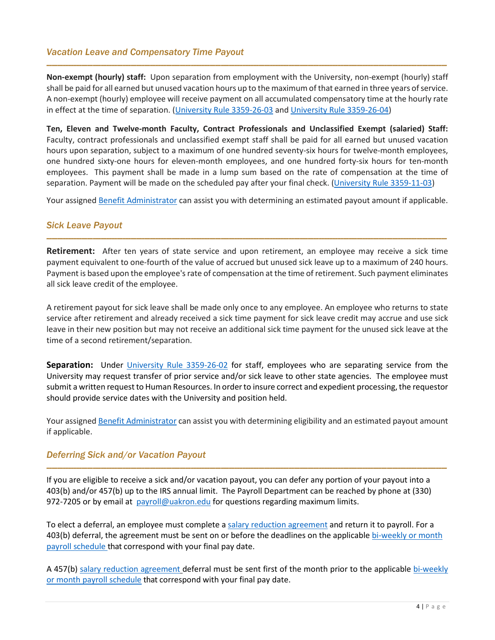#### *Vacation Leave and Compensatory Time Payout*

**Non-exempt (hourly) staff:** Upon separation from employment with the University, non-exempt (hourly) staff shall be paid for all earned but unused vacation hours up to the maximum of that earned in three years of service. A non-exempt (hourly) employee will receive payment on all accumulated compensatory time at the hourly rate in effect at the time of separation. [\(University Rule 3359-26-03](https://www.uakron.edu/ogc/universityrules/pdf/26-03.pdf) an[d University Rule 3359-26-04\)](https://www.uakron.edu/dotAsset/1347136.pdf)

*---------------------------------------------------------------------------------------------------------------------------------------------------*

**Ten, Eleven and Twelve-month Faculty, Contract Professionals and Unclassified Exempt (salaried) Staff:**  Faculty, contract professionals and unclassified exempt staff shall be paid for all earned but unused vacation hours upon separation, subject to a maximum of one hundred seventy-six hours for twelve-month employees, one hundred sixty-one hours for eleven-month employees, and one hundred forty-six hours for ten-month employees. This payment shall be made in a lump sum based on the rate of compensation at the time of separation. Payment will be made on the scheduled pay after your final check. [\(University Rule 3359-11-03\)](https://www.uakron.edu/ogc/UniversityRules/pdf/11-03.pdf)

Your assigned [Benefit Administrator](https://www.uakron.edu/hr/benefits/benefits-personnel.dot) can assist you with determining an estimated payout amount if applicable.

#### *Sick Leave Payout*

**Retirement:** After ten years of state service and upon retirement, an employee may receive a sick time payment equivalent to one-fourth of the value of accrued but unused sick leave up to a maximum of 240 hours. Payment is based upon the employee's rate of compensation at the time of retirement. Such payment eliminates all sick leave credit of the employee.

*---------------------------------------------------------------------------------------------------------------------------------------------------*

A retirement payout for sick leave shall be made only once to any employee. An employee who returns to state service after retirement and already received a sick time payment for sick leave credit may accrue and use sick leave in their new position but may not receive an additional sick time payment for the unused sick leave at the time of a second retirement/separation.

**Separation:** Under [University Rule 3359-26-02](https://www.uakron.edu/ogc/UniversityRules/pdf/26-02.pdf) for staff, employees who are separating service from the University may request transfer of prior service and/or sick leave to other state agencies. The employee must submit a written request to Human Resources. In order to insure correct and expedient processing, the requestor should provide service dates with the University and position held.

Your assigne[d Benefit Administrator](https://www.uakron.edu/hr/benefits/benefits-personnel.dot) can assist you with determining eligibility and an estimated payout amount if applicable.

*---------------------------------------------------------------------------------------------------------------------------------------------------*

#### *Deferring Sick and/or Vacation Payout*

If you are eligible to receive a sick and/or vacation payout, you can defer any portion of your payout into a 403(b) and/or 457(b) up to the IRS annual limit. The Payroll Department can be reached by phone at (330) 972-7205 or by email at [payroll@uakron.edu](mailto:payroll@uakron.edu) for questions regarding maximum limits.

To elect a deferral, an employee must complete a [salary reduction agreement](https://www.uakron.edu/hr/forms-directory/forms/403bSalaryReductionAgreement2019.docx?language_id=1) and return it to payroll. For a 403(b) deferral, the agreement must be sent on or before the deadlines on the applicable [bi-weekly or month](http://www.uakron.edu/payroll)  [payroll schedule](http://www.uakron.edu/payroll) that [correspond with your final p](https://www.wright.edu/sites/default/files/page/attachements/biweekly_1.pdf)ay date.

A 457(b) [salary reduction agreement](https://www.uakron.edu/hr/forms-directory/forms/457bSalaryReductionAgreement2019.docx?language_id=1) deferral must be sent first of the month prior to the applicable bi-weekly [or month payroll schedule](http://www.uakron.edu/payroll) tha[t correspond with your final p](https://www.wright.edu/sites/default/files/page/attachements/biweekly_1.pdf)ay date.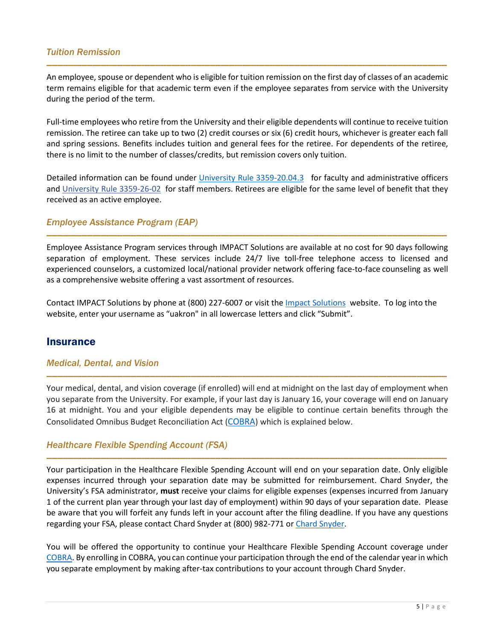#### *Tuition Remission*

An employee, spouse or dependent who is eligible for tuition remission on the first day of classes of an academic term remains eligible for that academic term even if the employee separates from service with the University during the period of the term.

*---------------------------------------------------------------------------------------------------------------------------------------------------*

Full-time employees who retire from the University and their eligible dependents will continue to receive tuition remission. The retiree can take up to two (2) credit courses or six (6) credit hours, whichever is greater each fall and spring sessions. Benefits includes tuition and general fees for the retiree. For dependents of the retiree, there is no limit to the number of classes/credits, but remission covers only tuition.

Detailed information can be found under [University Rule 3359-20.04.3](https://www.google.com/url?client=internal-element-cse&cx=007800461390686182351:mbljke_jg00&q=https://www.uakron.edu/ogc/UniversityRules/pdf/20-04.3.pdf&sa=U&ved=2ahUKEwjy27HFu_zoAhWKHc0KHXTrAvUQFjAAegQIABAB&usg=AOvVaw10qPME3ScVDQBw5OtNmXWL) for faculty and administrative officers and [University Rule 3359-26-02](http://www.uakron.edu/ogc/UniversityRules/pdf/26-02.pdf) for staff members. Retirees are eligible for the same level of benefit that they received as an active employee.

#### *Employee Assistance Program (EAP)*

Employee Assistance Program services through IMPACT Solutions are available at no cost for 90 days following separation of employment. These services include 24/7 live toll-free telephone access to licensed and experienced counselors, a customized local/national provider network offering face-to-face counseling as well as a comprehensive website offering a vast assortment of resources.

*---------------------------------------------------------------------------------------------------------------------------------------------------*

Contact IMPACT Solutions by phone at (800) 227-6007 or visit the *Impact Solutions* website. To log into the website, enter your username as "uakron" in all lowercase letters and click "Submit".

#### **Insurance**

#### *Medical, Dental, and Vision*

Your medical, dental, and vision coverage (if enrolled) will end at midnight on the last day of employment when you separate from the University. For example, if your last day is January 16, your coverage will end on January 16 at midnight. You and your eligible dependents may be eligible to continue certain benefits through the Consolidated Omnibus Budget Reconciliation Act [\(COBRA\)](https://www.uakron.edu/hr/benefits/cobra/) which is explained below.

*---------------------------------------------------------------------------------------------------------------------------------------------------*

#### *Healthcare Flexible Spending Account (FSA)*

Your participation in the Healthcare Flexible Spending Account will end on your separation date. Only eligible expenses incurred through your separation date may be submitted for reimbursement. Chard Snyder, the University's FSA administrator, **must** receive your claims for eligible expenses (expenses incurred from January 1 of the current plan year through your last day of employment) within 90 days of your separation date. Please be aware that you will forfeit any funds left in your account after the filing deadline. If you have any questions regarding your FSA, please contact Chard Snyder at (800) 982-771 or [Chard Snyder.](http://www.chard-snyder.com/)

*---------------------------------------------------------------------------------------------------------------------------------------------------*

You will be offered the opportunity to continue your Healthcare Flexible Spending Account coverage under [COBRA.](https://www.uakron.edu/hr/benefits/cobra/) By enrolling in COBRA, you can continue your participation through the end of the calendar year in which you separate employment by making after-tax contributions to your account through Chard Snyder.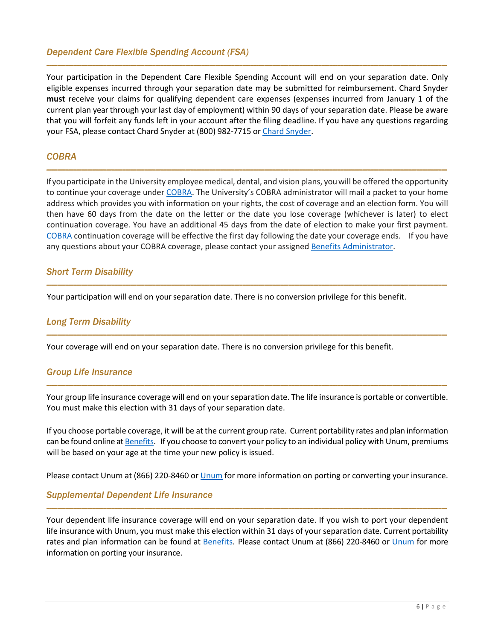#### *Dependent Care Flexible Spending Account (FSA)*

Your participation in the Dependent Care Flexible Spending Account will end on your separation date. Only eligible expenses incurred through your separation date may be submitted for reimbursement. Chard Snyder **must** receive your claims for qualifying dependent care expenses (expenses incurred from January 1 of the current plan year through your last day of employment) within 90 days of your separation date. Please be aware that you will forfeit any funds left in your account after the filing deadline. If you have any questions regarding your FSA, please contact Chard Snyder at (800) 982-7715 or [Chard Snyder.](http://www.chard-snyder.com/)

*---------------------------------------------------------------------------------------------------------------------------------------------------*

#### *COBRA*

If you participate in the University employee medical, dental, and vision plans, you will be offered the opportunity to continue your coverage under [COBRA.](https://www.uakron.edu/hr/benefits/cobra/) The University's COBRA administrator will mail a packet to your home address which provides you with information on your rights, the cost of coverage and an election form. You will then have 60 days from the date on the letter or the date you lose coverage (whichever is later) to elect continuation coverage. You have an additional 45 days from the date of election to make your first payment. [COBRA](https://www.uakron.edu/hr/benefits/cobra/) continuation coverage will be effective the first day following the date your coverage ends. If you have any questions about your COBRA coverage, please contact your assigned [Benefits Administrator.](https://www.uakron.edu/hr/benefits/benefits-personnel.dot)

*---------------------------------------------------------------------------------------------------------------------------------------------------*

*---------------------------------------------------------------------------------------------------------------------------------------------------*

*---------------------------------------------------------------------------------------------------------------------------------------------------*

#### *Short Term Disability*

Your participation will end on your separation date. There is no conversion privilege for this benefit.

#### *Long Term Disability*

Your coverage will end on your separation date. There is no conversion privilege for this benefit.

#### *Group Life Insurance*

Your group life insurance coverage will end on your separation date. The life insurance is portable or convertible. You must make this election with 31 days of your separation date.

*---------------------------------------------------------------------------------------------------------------------------------------------------*

If you choose portable coverage, it will be at the current group rate. Current portability rates and plan information can be found online at [Benefits.](https://www.uakron.edu/hr/benefits/2020/) If you choose to convert your policy to an individual policy with Unum, premiums will be based on your age at the time your new policy is issued.

Please contact [Unum](http://www.unum.com/) at (866) 220-8460 or Unum for more information on porting or converting your insurance.

#### *Supplemental Dependent Life Insurance*

Your dependent life insurance coverage will end on your separation date. If you wish to port your dependent life insurance with Unum, you must make this election within 31 days of your separation date. Current portability rates and plan information can be found at [Benefits.](https://www.uakron.edu/hr/benefits/2022/) Please contact [Unum](http://www.unum.com/) at (866) 220-8460 or Unum for more information on porting your insurance.

*---------------------------------------------------------------------------------------------------------------------------------------------------*